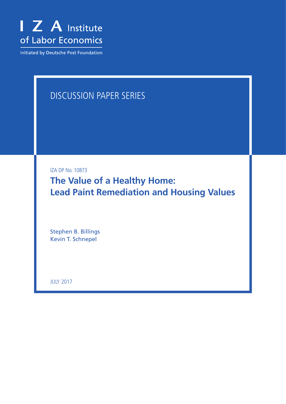

Initiated by Deutsche Post Foundation

# DISCUSSION PAPER SERIES

IZA DP No. 10873

**The Value of a Healthy Home: Lead Paint Remediation and Housing Values**

Stephen B. Billings Kevin T. Schnepel

JULY 2017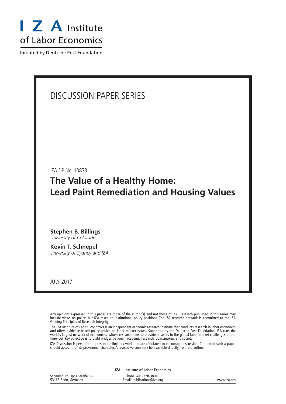

Initiated by Deutsche Post Foundation

## DISCUSSION PAPER SERIES

IZA DP No. 10873

**The Value of a Healthy Home: Lead Paint Remediation and Housing Values**

**Stephen B. Billings** *University of Colorado*

**Kevin T. Schnepel** *University of Sydney and IZA*

JULY 2017

Any opinions expressed in this paper are those of the author(s) and not those of IZA. Research published in this series may include views on policy, but IZA takes no institutional policy positions. The IZA research network is committed to the IZA Guiding Principles of Research Integrity.

The IZA Institute of Labor Economics is an independent economic research institute that conducts research in labor economics and offers evidence-based policy advice on labor market issues. Supported by the Deutsche Post Foundation, IZA runs the world's largest network of economists, whose research aims to provide answers to the global labor market challenges of our time. Our key objective is to build bridges between academic research, policymakers and society.

IZA Discussion Papers often represent preliminary work and are circulated to encourage discussion. Citation of such a paper should account for its provisional character. A revised version may be available directly from the author.

| IZA - Institute of Labor Economics                 |                                                      |             |  |
|----------------------------------------------------|------------------------------------------------------|-------------|--|
| Schaumburg-Lippe-Straße 5–9<br>53113 Bonn, Germany | Phone: +49-228-3894-0<br>Email: publications@iza.org | www.iza.org |  |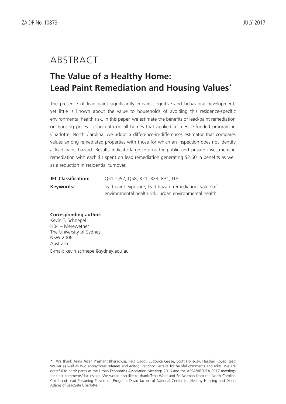# ABSTRACT

## **The Value of a Healthy Home: Lead Paint Remediation and Housing Values\***

The presence of lead paint significantly impairs cognitive and behavioral development, yet little is known about the value to households of avoiding this residence-specific environmental health risk. In this paper, we estimate the benefits of lead-paint remediation on housing prices. Using data on all homes that applied to a HUD-funded program in Charlotte, North Carolina, we adopt a difference-in-differences estimator that compares values among remediated properties with those for which an inspection does not identify a lead paint hazard. Results indicate large returns for public and private investment in remediation with each \$1 spent on lead remediation generating \$2.60 in benefits as well as a reduction in residential turnover.

| <b>JEL Classification:</b> | Q51, Q52, Q58, R21, R23, R31, I18                      |
|----------------------------|--------------------------------------------------------|
| Keywords:                  | lead paint exposure, lead hazard remediation, value of |
|                            | environmental health risk, urban environmental health  |

#### **Corresponding author:** Kevin T. Schnepel H04 – Merewether The University of Sydney NSW 2006 Australia E-mail: kevin.schnepel@sydney.edu.au

<sup>\*</sup> We thank Anna Aizer, Prashant Bharadwaj, Paul Gaggl, Ludovica Gazze, Scott Holladay, Heather Royer, Reed Walker as well as two anonymous referees and editor, Francisco Ferreira for helpful comments and edits. We are grateful to participants at the Urban Economics Association Meetings 2016 and the ASSA/AREUEA 2017 meetings for their comments/discussions. We would also like to thank Tena Ward and Ed Norman from the North Carolina Childhood Lead Poisoning Prevention Program; David Jacobs of National Center for Healthy Housing and Diana Adams of LeadSafe Charlotte.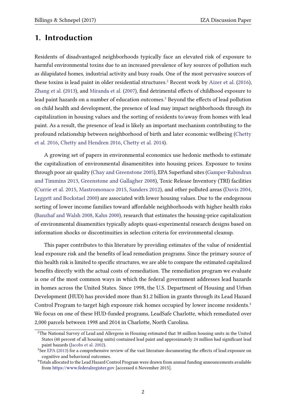### 1. Introduction

Residents of disadvantaged neighborhoods typically face an elevated risk of exposure to harmful environmental toxins due to an increased prevalence of key sources of pollution such as dilapidated homes, industrial activity and busy roads. One of the most pervasive sources of these toxins is lead paint in older residential structures.<sup>[2](#page-3-0)</sup> Recent work by [Aizer et al.](#page-19-0) [\(2016\)](#page-19-0), [Zhang et al.](#page-21-0) [\(2013\)](#page-21-0), and [Miranda et al.](#page-20-0) [\(2007\)](#page-20-0), find detrimental effects of childhood exposure to lead paint hazards on a number of education outcomes.<sup>[3](#page-3-1)</sup> Beyond the effects of lead pollution on child health and development, the presence of lead may impact neighborhoods through its capitalization in housing values and the sorting of residents to/away from homes with lead paint. As a result, the presence of lead is likely an important mechanism contributing to the profound relationship between neighborhood of birth and later economic wellbeing [\(Chetty](#page-19-1) [et al.](#page-19-1) [2016,](#page-19-1) [Chetty and Hendren](#page-19-2) [2016,](#page-19-2) [Chetty et al.](#page-19-3) [2014\)](#page-19-3).

A growing set of papers in environmental economics use hedonic methods to estimate the capitalization of environmental disamenitites into housing prices. Exposure to toxins through poor air quality [\(Chay and Greenstone](#page-19-4) [2005\)](#page-19-4), EPA Superfund sites [\(Gamper-Rabindran](#page-20-1) [and Timmins](#page-20-1) [2013,](#page-20-1) [Greenstone and Gallagher](#page-20-2) [2008\)](#page-20-2), Toxic Release Inventory (TRI) facilities [\(Currie et al.](#page-20-3) [2015,](#page-20-3) [Mastromonaco](#page-20-4) [2015,](#page-20-4) [Sanders](#page-21-1) [2012\)](#page-21-1), and other polluted areas [\(Davis](#page-20-5) [2004,](#page-20-5) [Leggett and Bockstael](#page-20-6) [2000\)](#page-20-6) are associated with lower housing values. Due to the endogenous sorting of lower income families toward affordable neighborhoods with higher health risks [\(Banzhaf and Walsh](#page-19-5) [2008,](#page-19-5) [Kahn](#page-20-7) [2000\)](#page-20-7), research that estimates the housing-price capitalization of environmental disamenities typically adopts quasi-experimental research designs based on information shocks or discontinuities in selection criteria for environmental cleanup.

This paper contributes to this literature by providing estimates of the value of residential lead exposure risk and the benefits of lead remediation programs. Since the primary source of this health risk is limited to specific structures, we are able to compare the estimated capitalized benefits directly with the actual costs of remediation. The remediation program we evaluate is one of the most common ways in which the federal government addresses lead hazards in homes across the United States. Since 1998, the U.S. Department of Housing and Urban Development (HUD) has provided more than \$1.2 billion in grants through its Lead Hazard Control Program to target high exposure risk homes occupied by lower income residents.<sup>[4](#page-3-2)</sup> We focus on one of these HUD-funded programs, LeadSafe Charlotte, which remediated over 2,000 parcels between 1998 and 2014 in Charlotte, North Carolina.

<span id="page-3-0"></span><sup>&</sup>lt;sup>2</sup>The National Survey of Lead and Allergens in Housing estimated that 38 million housing units in the United States (40 percent of all housing units) contained lead paint and approximately 24 million had significant lead paint hazards [\(Jacobs et al.](#page-20-8) [2002\)](#page-20-8).

<span id="page-3-1"></span><sup>&</sup>lt;sup>3</sup>See [EPA](#page-20-9) [\(2013\)](#page-20-9) for a comprehensive review of the vast literature documenting the effects of lead exposure on cognitive and behavioral outcomes.

<span id="page-3-2"></span><sup>&</sup>lt;sup>4</sup>Totals allocated to the Lead Hazard Control Program were drawn from annual funding announcements available from <https://www.federalregister.gov> [accessed 6 November 2015].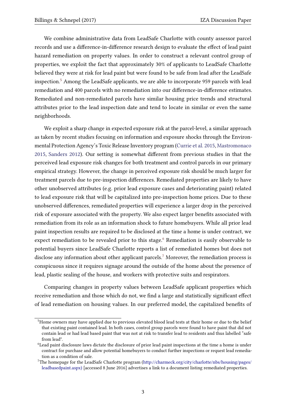We combine administrative data from LeadSafe Charlotte with county assessor parcel records and use a difference-in-difference research design to evaluate the effect of lead paint hazard remediation on property values. In order to construct a relevant control group of properties, we exploit the fact that approximately 30% of applicants to LeadSafe Charlotte believed they were at risk for lead paint but were found to be safe from lead after the LeadSafe inspection.[5](#page-4-0) Among the LeadSafe applicants, we are able to incorporate 959 parcels with lead remediation and 400 parcels with no remediation into our difference-in-difference estimates. Remediated and non-remediated parcels have similar housing price trends and structural attributes prior to the lead inspection date and tend to locate in similar or even the same neighborhoods.

We exploit a sharp change in expected exposure risk at the parcel-level, a similar approach as taken by recent studies focusing on information and exposure shocks through the Environmental Protection Agency's Toxic Release Inventory program [\(Currie et al.](#page-20-3) [2015,](#page-20-3) [Mastromonaco](#page-20-4) [2015,](#page-20-4) [Sanders](#page-21-1) [2012\)](#page-21-1). Our setting is somewhat different from previous studies in that the perceived lead exposure risk changes for both treatment and control parcels in our primary empirical strategy. However, the change in perceived exposure risk should be much larger for treatment parcels due to pre-inspection differences. Remediated properties are likely to have other unobserved attributes (e.g. prior lead exposure cases and deteriorating paint) related to lead exposure risk that will be capitalized into pre-inspection home prices. Due to these unobserved differences, remediated properties will experience a larger drop in the perceived risk of exposure associated with the property. We also expect larger benefits associated with remediation from its role as an information shock to future homebuyers. While all prior lead paint inspection results are required to be disclosed at the time a home is under contract, we expect remediation to be revealed prior to this stage.<sup>[6](#page-4-1)</sup> Remediation is easily observable to potential buyers since LeadSafe Charlotte reports a list of remediated homes but does not disclose any information about other applicant parcels.<sup>[7](#page-4-2)</sup> Moreover, the remediation process is conspicuous since it requires signage around the outside of the home about the presence of lead, plastic sealing of the house, and workers with protective suits and respirators.

Comparing changes in property values between LeadSafe applicant properties which receive remediation and those which do not, we find a large and statistically significant effect of lead remediation on housing values. In our preferred model, the capitalized benefits of

<span id="page-4-0"></span><sup>&</sup>lt;sup>5</sup>Home owners may have applied due to previous elevated blood lead tests at their home or due to the belief that existing paint contained lead. In both cases, control group parcels were found to have paint that did not contain lead or had lead based paint that was not at risk to transfer lead to residents and thus labelled "safe from lead".

<span id="page-4-1"></span><sup>6</sup>Lead paint disclosure laws dictate the disclosure of prior lead paint inspections at the time a home is under contract for purchase and allow potential homebuyers to conduct further inspections or request lead remediation as a condition of sale.

<span id="page-4-2"></span><sup>7</sup>The homepage for the LeadSafe Charlotte program [\(http://charmeck.org/city/charlotte/nbs/housing/pages/](http://charmeck.org/city/charlotte/nbs/housing/pages/leadbasedpaint.aspx )) [leadbasedpaint.aspx\)](http://charmeck.org/city/charlotte/nbs/housing/pages/leadbasedpaint.aspx )) [accessed 8 June 2016] advertises a link to a document listing remediated properties.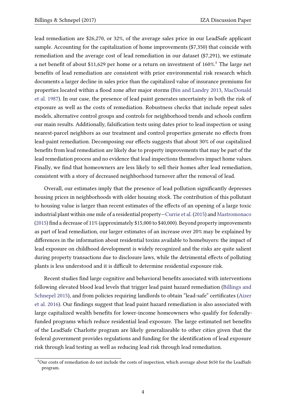lead remediation are \$26,270, or 32%, of the average sales price in our LeadSafe applicant sample. Accounting for the capitalization of home improvements (\$7,350) that coincide with remediation and the average cost of lead remediation in our dataset (\$7,291), we estimate a net benefit of about \$11,629 per home or a return on investment of 160%.<sup>[8](#page-5-0)</sup> The large net benefits of lead remediation are consistent with prior environmental risk research which documents a larger decline in sales price than the capitalized value of insurance premiums for properties located within a flood zone after major storms [\(Bin and Landry](#page-19-6) [2013,](#page-19-6) [MacDonald](#page-20-10) [et al.](#page-20-10) [1987\)](#page-20-10). In our case, the presence of lead paint generates uncertainty in both the risk of exposure as well as the costs of remediation. Robustness checks that include repeat sales models, alternative control groups and controls for neighborhood trends and schools confirm our main results. Additionally, falsification tests using dates prior to lead inspection or using nearest-parcel neighbors as our treatment and control properties generate no effects from lead-paint remediation. Decomposing our effects suggests that about 30% of our capitalized benefits from lead remediation are likely due to property improvements that may be part of the lead remediation process and no evidence that lead inspections themselves impact home values. Finally, we find that homeowners are less likely to sell their homes after lead remediation, consistent with a story of decreased neighborhood turnover after the removal of lead.

Overall, our estimates imply that the presence of lead pollution significantly depresses housing prices in neighborhoods with older housing stock. The contribution of this pollutant to housing value is larger than recent estimates of the effects of an opening of a large toxic industrial plant within one mile of a residential property[—Currie et al.](#page-20-3) [\(2015\)](#page-20-3) and [Mastromonaco](#page-20-4) [\(2015\)](#page-20-4) find a decrease of 11% (approximately \$15,000 to \$40,000). Beyond property improvements as part of lead remediation, our larger estimates of an increase over 20% may be explained by differences in the information about residential toxins available to homebuyers: the impact of lead exposure on childhood development is widely recognized and the risks are quite salient during property transactions due to disclosure laws, while the detrimental effects of polluting plants is less understood and it is difficult to determine residential exposure risk.

Recent studies find large cognitive and behavioral benefits associated with interventions following elevated blood lead levels that trigger lead paint hazard remediation [\(Billings and](#page-19-7) [Schnepel](#page-19-7) [2015\)](#page-19-7), and from policies requiring landlords to obtain "lead-safe" certificates [\(Aizer](#page-19-0) [et al.](#page-19-0) [2016\)](#page-19-0). Our findings suggest that lead paint hazard remediation is also associated with large capitalized wealth benefits for lower-income homeowners who qualify for federallyfunded programs which reduce residential lead exposure. The large estimated net benefits of the LeadSafe Charlotte program are likely generalizeable to other cities given that the federal government provides regulations and funding for the identification of lead exposure risk through lead testing as well as reducing lead risk through lead remediation.

<span id="page-5-0"></span><sup>8</sup>Our costs of remediation do not include the costs of inspection, which average about \$650 for the LeadSafe program.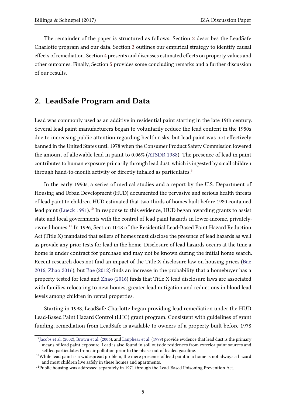The remainder of the paper is structured as follows: Section [2](#page-6-0) describes the LeadSafe Charlotte program and our data. Section [3](#page-9-0) outlines our empirical strategy to identify causal effects of remediation. Section [4](#page-13-0) presents and discusses estimated effects on property values and other outcomes. Finally, Section [5](#page-18-0) provides some concluding remarks and a further discussion of our results.

### <span id="page-6-0"></span>2. LeadSafe Program and Data

Lead was commonly used as an additive in residential paint starting in the late 19th century. Several lead paint manufacturers began to voluntarily reduce the lead content in the 1950s due to increasing public attention regarding health risks, but lead paint was not effectively banned in the United States until 1978 when the Consumer Product Safety Commission lowered the amount of allowable lead in paint to 0.06% [\(ATSDR](#page-19-8) [1988\)](#page-19-8). The presence of lead in paint contributes to human exposure primarily through lead dust, which is ingested by small children through hand-to-mouth activity or directly inhaled as particulates.<sup>[9](#page-6-1)</sup>

In the early 1990s, a series of medical studies and a report by the U.S. Department of Housing and Urban Development (HUD) documented the pervasive and serious health threats of lead paint to children. HUD estimated that two-thirds of homes built before 1980 contained lead paint [\(Lueck](#page-20-11) [1991\)](#page-20-11).<sup>[10](#page-6-2)</sup> In response to this evidence, HUD began awarding grants to assist state and local governments with the control of lead paint hazards in lower-income, privatelyowned homes.[11](#page-6-3) In 1996, Section 1018 of the Residential Lead-Based Paint Hazard Reduction Act (Title X) mandated that sellers of homes must disclose the presence of lead hazards as well as provide any prior tests for lead in the home. Disclosure of lead hazards occurs at the time a home is under contract for purchase and may not be known during the initial home search. Recent research does not find an impact of the Title X disclosure law on housing prices [\(Bae](#page-19-9)  $2016$ , [Zhao](#page-21-2)  $2016$ ), but [Bae](#page-19-10) ( $2012$ ) finds an increase in the probability that a homebuyer has a property tested for lead and [Zhao](#page-21-2) [\(2016\)](#page-21-2) finds that Title X lead disclosure laws are associated with families relocating to new homes, greater lead mitigation and reductions in blood lead levels among children in rental properties.

Starting in 1998, LeadSafe Charlotte began providing lead remediation under the HUD Lead-Based Paint Hazard Control (LHC) grant program. Consistent with guidelines of grant funding, remediation from LeadSafe is available to owners of a property built before 1978

<span id="page-6-1"></span> $^9$ [Jacobs et al.](#page-20-8) [\(2002\)](#page-20-8), [Brown et al.](#page-19-11) [\(2006\)](#page-19-11), and [Lanphear et al.](#page-20-12) [\(1999\)](#page-20-12) provide evidence that lead dust is the primary means of lead paint exposure. Lead is also found in soil outside residences from exterior paint sources and settled particulates from air pollution prior to the phase-out of leaded gasoline.

<span id="page-6-2"></span><sup>&</sup>lt;sup>10</sup>While lead paint is a widespread problem, the mere presence of lead paint in a home is not always a hazard and most children live safely in these homes and apartments.

<span id="page-6-3"></span><sup>&</sup>lt;sup>11</sup>Public housing was addressed separately in 1971 through the Lead-Based Poisoning Prevention Act.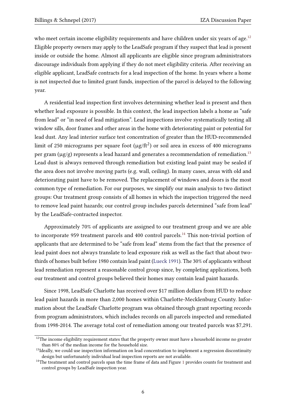who meet certain income eligibility requirements and have children under six years of age.<sup>[12](#page-7-0)</sup> Eligible property owners may apply to the LeadSafe program if they suspect that lead is present inside or outside the home. Almost all applicants are eligible since program administrators discourage individuals from applying if they do not meet eligibility criteria. After receiving an eligible applicant, LeadSafe contracts for a lead inspection of the home. In years where a home is not inspected due to limited grant funds, inspection of the parcel is delayed to the following year.

A residential lead inspection first involves determining whether lead is present and then whether lead exposure is possible. In this context, the lead inspection labels a home as "safe from lead" or "in need of lead mitigation". Lead inspections involve systematically testing all window sills, door frames and other areas in the home with deteriorating paint or potential for lead dust. Any lead interior surface test concentration of greater than the HUD-recommended limit of 250 micrograms per square foot ( $\mu$ g/ft<sup>2</sup>) or soil area in excess of 400 micrograms per gram ( $\mu$ g/g) represents a lead hazard and generates a recommendation of remediation.<sup>[13](#page-7-1)</sup> Lead dust is always removed through remediation but existing lead paint may be sealed if the area does not involve moving parts (e.g. wall, ceiling). In many cases, areas with old and deteriorating paint have to be removed. The replacement of windows and doors is the most common type of remediation. For our purposes, we simplify our main analysis to two distinct groups: Our treatment group consists of all homes in which the inspection triggered the need to remove lead paint hazards; our control group includes parcels determined "safe from lead" by the LeadSafe-contracted inspector.

Approximately 70% of applicants are assigned to our treatment group and we are able to incorporate 959 treatment parcels and 400 control parcels.<sup>[14](#page-7-2)</sup> This non-trivial portion of applicants that are determined to be "safe from lead" stems from the fact that the presence of lead paint does not always translate to lead exposure risk as well as the fact that about twothirds of homes built before 1980 contain lead paint [\(Lueck](#page-20-11) [1991\)](#page-20-11). The 30% of applicants without lead remediation represent a reasonable control group since, by completing applications, both our treatment and control groups believed their homes may contain lead paint hazards.

Since 1998, LeadSafe Charlotte has received over \$17 million dollars from HUD to reduce lead paint hazards in more than 2,000 homes within Charlotte-Mecklenburg County. Information about the LeadSafe Charlotte program was obtained through grant reporting records from program administrators, which includes records on all parcels inspected and remediated from 1998-2014. The average total cost of remediation among our treated parcels was \$7,291.

<span id="page-7-0"></span><sup>&</sup>lt;sup>12</sup>The income eligibility requirement states that the property owner must have a household income no greater than 80% of the median income for the household size.

<span id="page-7-1"></span> $<sup>13</sup>$ Ideally, we could use inspection information on lead concentration to implement a regression discontinuity</sup> design but unfortunately individual lead inspection reports are not available.

<span id="page-7-2"></span><sup>&</sup>lt;sup>[1](#page-22-0)4</sup>The treatment and control parcels span the time frame of data and Figure 1 provides counts for treatment and control groups by LeadSafe inspection year.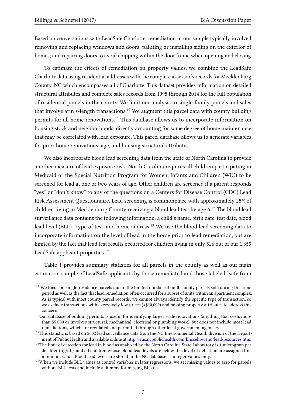Based on conversations with LeadSafe Charlotte, remediation in our sample typically involved removing and replacing windows and doors; painting or installing siding on the exterior of homes; and repairing doors to avoid chipping within the door frame when opening and closing.

To estimate the effects of remediation on property values, we combine the LeadSafe Charlotte data using residential addresses with the complete assessor's records for Mecklenburg County, NC which encompasses all of Charlotte. This dataset provides information on detailed structural attributes and complete sales records from 1995 through 2014 for the full population of residential parcels in the county. We limit our analysis to single-family parcels and sales that involve arm's-length transactions.<sup>[15](#page-8-0)</sup> We augment this parcel data with county building permits for all home renovations.[16](#page-8-1) This database allows us to incorporate information on housing stock and neighborhoods, directly accounting for some degree of home maintenance that may be correlated with lead exposure. This parcel database allows us to generate variables for prior home renovations, age, and housing structural attributes.

We also incorporate blood lead screening data from the state of North Carolina to provide another measure of lead exposure risk. North Carolina requires all children participating in Medicaid or the Special Nutrition Program for Women, Infants and Children (WIC) to be screened for lead at one or two years of age. Other children are screened if a parent responds "yes" or "don't know" to any of the questions on a Centers for Disease Control (CDC) Lead Risk Assessment Questionnaire. Lead screening is commonplace with approximately 25% of children living in Mecklenburg County receiving a blood lead test by age 6.[17](#page-8-2) The blood lead surveillance data contains the following information: a child's name, birth date, test date, blood lead level (BLL), type of test, and home address.<sup>[18](#page-8-3)</sup> We use the blood lead screening data to incorporate information on the level of lead in the home prior to lead remediation, but are limited by the fact that lead test results occurred for children living in only 526 out of our 1,359 LeadSafe applicant properties.<sup>[19](#page-8-4)</sup>

Table [1](#page-25-0) provides summary statistics for all parcels in the county as well as our main estimation sample of LeadSafe applicants by those remediated and those labeled "safe from

<span id="page-8-0"></span><sup>&</sup>lt;sup>15</sup> We focus on single-residence parcels due to the limited number of multi-family parcels sold during this time period as well as the fact that lead remediation often occurred for a subset of units within an apartment complex. As is typical with most county parcel records, we cannot always identify the specific type of transaction, so we exclude transactions with excessively low prices (<\$10,000) and missing property attributes to address this concern.

<span id="page-8-1"></span> $16$ Our database of building permits is useful for identifying larger scale renovations (anything that costs more than \$5,000 or involves structural, mechanical, electrical or plumbing work), but does not include most lead remediations, which are regulated and permitted through other local government agencies

<span id="page-8-2"></span> $17$ This statistic is based on 2002 lead surveillance data from the NC Environmental Health division of the Department of Public Health and available online at [http://ehs.ncpublichealth.com/hhccehb/cehu/lead/resources.htm.](http://ehs.ncpublichealth.com/hhccehb/cehu/lead/resources.htm)

<span id="page-8-3"></span><sup>&</sup>lt;sup>18</sup>The limit of detection for lead in blood as analyzed by the North Carolina State Laboratory is 1 microgram per deciliter ( $\mu$ g/dL), and all children whose blood lead levels are below this level of detection are assigned this minimum value. Blood lead levels are stored in the NC database as integer values only.

<span id="page-8-4"></span><sup>&</sup>lt;sup>19</sup>When we include BLL values as control variables in later regressions, we set missing values to zero for parcels without BLL tests and include a dummy for missing BLL test.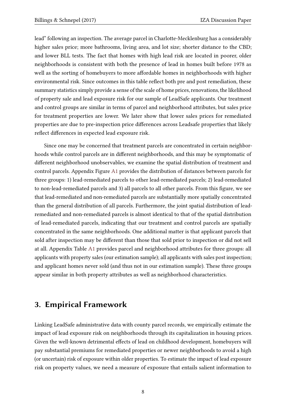lead" following an inspection. The average parcel in Charlotte-Mecklenburg has a considerably higher sales price; more bathrooms, living area, and lot size; shorter distance to the CBD; and lower BLL tests. The fact that homes with high lead risk are located in poorer, older neighborhoods is consistent with both the presence of lead in homes built before 1978 as well as the sorting of homebuyers to more affordable homes in neighborhoods with higher environmental risk. Since outcomes in this table reflect both pre and post remediation, these summary statistics simply provide a sense of the scale of home prices, renovations, the likelihood of property sale and lead exposure risk for our sample of LeadSafe applicants. Our treatment and control groups are similar in terms of parcel and neighborhood attributes, but sales price for treatment properties are lower. We later show that lower sales prices for remediated properties are due to pre-inspection price differences across Leadsafe properties that likely reflect differences in expected lead exposure risk.

Since one may be concerned that treatment parcels are concentrated in certain neighborhoods while control parcels are in different neighborhoods, and this may be symptomatic of different neighborhood unobservables, we examine the spatial distribution of treatment and control parcels. Appendix Figure [A1](#page-33-0) provides the distribution of distances between parcels for three groups: 1) lead-remediated parcels to other lead-remediated parcels; 2) lead-remediated to non-lead-remediated parcels and 3) all parcels to all other parcels. From this figure, we see that lead-remediated and non-remediated parcels are substantially more spatially concentrated than the general distribution of all parcels. Furthermore, the joint spatial distribution of leadremediated and non-remediated parcels is almost identical to that of the spatial distribution of lead-remediated parcels, indicating that our treatment and control parcels are spatially concentrated in the same neighborhoods. One additional matter is that applicant parcels that sold after inspection may be different than those that sold prior to inspection or did not sell at all. Appendix Table [A1](#page-34-0) provides parcel and neighborhood attributes for three groups: all applicants with property sales (our estimation sample); all applicants with sales post inspection; and applicant homes never sold (and thus not in our estimation sample). These three groups appear similar in both property attributes as well as neighborhood characteristics.

#### <span id="page-9-0"></span>3. Empirical Framework

Linking LeadSafe administrative data with county parcel records, we empirically estimate the impact of lead exposure risk on neighborhoods through its capitalization in housing prices. Given the well-known detrimental effects of lead on childhood development, homebuyers will pay substantial premiums for remediated properties or newer neighborhoods to avoid a high (or uncertain) risk of exposure within older properties. To estimate the impact of lead exposure risk on property values, we need a measure of exposure that entails salient information to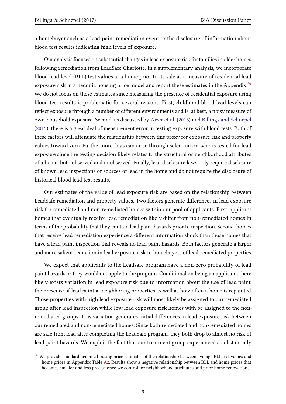a homebuyer such as a lead-paint remediation event or the disclosure of information about blood test results indicating high levels of exposure.

Our analysis focuses on substantial changes in lead exposure risk for families in older homes following remediation from LeadSafe Charlotte. In a supplementary analysis, we incorporate blood lead level (BLL) test values at a home prior to its sale as a measure of residential lead exposure risk in a hedonic housing price model and report these estimates in the Appendix.<sup>[20](#page-10-0)</sup> We do not focus on these estimates since measuring the presence of residential exposure using blood test results is problematic for several reasons. First, childhood blood lead levels can reflect exposure through a number of different environments and is, at best, a noisy measure of own-household exposure. Second, as discussed by [Aizer et al.](#page-19-0) [\(2016\)](#page-19-0) and [Billings and Schnepel](#page-19-7) [\(2015\)](#page-19-7), there is a great deal of measurement error in testing exposure with blood tests. Both of these factors will attenuate the relationship between this proxy for exposure risk and property values toward zero. Furthermore, bias can arise through selection on who is tested for lead exposure since the testing decision likely relates to the structural or neighborhood attributes of a home, both observed and unobserved. Finally, lead disclosure laws only require disclosure of known lead inspections or sources of lead in the home and do not require the disclosure of historical blood lead test results.

Our estimates of the value of lead exposure risk are based on the relationship between LeadSafe remediation and property values. Two factors generate differences in lead exposure risk for remediated and non-remediated homes within our pool of applicants. First, applicant homes that eventually receive lead remediation likely differ from non-remediated homes in terms of the probability that they contain lead paint hazards prior to inspection. Second, homes that receive lead remediation experience a different information shock than those homes that have a lead paint inspection that reveals no lead paint hazards. Both factors generate a larger and more salient reduction in lead exposure risk to homebuyers of lead-remediated properties.

We expect that applicants to the Leadsafe program have a non-zero probability of lead paint hazards or they would not apply to the program. Conditional on being an applicant, there likely exists variation in lead exposure risk due to information about the use of lead paint, the presence of lead paint at neighboring properties as well as how often a home is repainted. Those properties with high lead exposure risk will most likely be assigned to our remediated group after lead inspection while low lead exposure risk homes with be assigned to the nonremediated groups. This variation generates initial differences in lead exposure risk between our remediated and non-remediated homes. Since both remediated and non-remediated homes are safe from lead after completing the LeadSafe program, they both drop to almost no risk of lead-paint hazards. We exploit the fact that our treatment group experienced a substantially

<span id="page-10-0"></span><sup>&</sup>lt;sup>20</sup>We provide standard hedonic housing price estimates of the relationship between average BLL test values and home prices in Appendix Table [A2.](#page-36-0) Results show a negative relationship between BLL and home prices that becomes smaller and less precise once we control for neighborhood attributes and prior home renovations.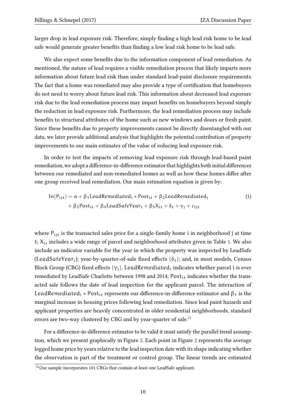larger drop in lead exposure risk. Therefore, simply finding a high lead risk home to be lead safe would generate greater benefits than finding a low lead risk home to be lead safe.

We also expect some benefits due to the information component of lead remediation. As mentioned, the nature of lead requires a visible remediation process that likely imparts more information about future lead risk than under standard lead-paint disclosure requirements. The fact that a home was remediated may also provide a type of certification that homebuyers do not need to worry about future lead risk. This information about decreased lead exposure risk due to the lead remediation process may impart benefits on homebuyers beyond simply the reduction in lead exposure risk. Furthermore, the lead remediation process may include benefits to structural attributes of the home such as new windows and doors or fresh paint. Since these benefits due to property improvements cannot be directly disentangled with our data, we later provide additional analysis that highlights the potential contribution of property improvements to our main estimates of the value of reducing lead exposure risk.

In order to test the impacts of removing lead exposure risk through lead-based paint remediation, we adopt a difference-in-difference estimator that highlights both initial differences between our remediated and non-remediated homes as well as how these homes differ after one group received lead remediation. Our main estimation equation is given by:

$$
\ln(P_{ijt}) = \alpha + \beta_1 \text{LeadRemediated}_{i} * \text{Post}_{it} + \beta_2 \text{LeadRemediated}_{i}
$$
  
+ 
$$
\beta_3 \text{Post}_{it} + \beta_4 \text{LeadSafeYear}_{t} + \beta_5 X_{it} + \delta_t + \gamma_j + \varepsilon_{ijt}
$$
 (1)

where  $P_{i,j}$  is the transacted sales price for a single-family home i in neighborhood j at time t;  $X_{it}$  includes a wide range of parcel and neighborhood attributes given in Table [1.](#page-25-0) We also include an indicator variable for the year in which the property was inspected by LeadSafe (LeadSafeYear<sub>i</sub>); year-by-quarter-of-sale fixed effects ( $\delta_t$ ); and, in most models, Census Block Group (CBG) fixed effects  $(\gamma_i)$ . LeadRemediated<sub>i</sub> indicates whether parcel i is ever remediated by LeadSafe Charlotte between 1998 and 2014; Post<sub>it</sub> indicates whether the transacted sale follows the date of lead inspection for the applicant parcel. The interaction of LeadRemediated<sub>i</sub> \* Post<sub>it</sub> represents our difference-in-difference estimator and  $\beta_1$  is the marginal increase in housing prices following lead remediation. Since lead paint hazards and applicant properties are heavily concentrated in older residential neighborhoods, standard errors are two-way clustered by CBG and by year-quarter of sale.<sup>[21](#page-11-0)</sup>

For a difference-in-difference estimator to be valid it must satisfy the parallel trend assumption, which we present graphically in Figure [2.](#page-23-0) Each point in Figure [2](#page-23-0) represents the average logged home price by years relative to the lead inspection date with its shape indicating whether the observation is part of the treatment or control group. The linear trends are estimated

<span id="page-11-0"></span><sup>&</sup>lt;sup>21</sup>Our sample incorporates 101 CBGs that contain at least one LeadSafe applicant.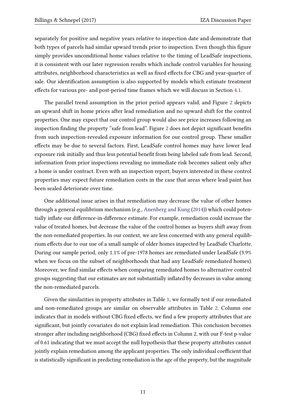separately for positive and negative years relative to inspection date and demonstrate that both types of parcels had similar upward trends prior to inspection. Even though this figure simply provides unconditional home values relative to the timing of LeadSafe inspections, it is consistent with our later regression results which include control variables for housing attributes, neighborhood characteristics as well as fixed effects for CBG and year-quarter of sale. Our identification assumption is also supported by models which estimate treatment effects for various pre- and post-period time frames which we will discuss in Section [4.1.](#page-14-0)

The parallel trend assumption in the prior period appears valid, and Figure [2](#page-23-0) depicts an upward shift in home prices after lead remediation and no upward shift for the control properties. One may expect that our control group would also see price increases following an inspection finding the property "safe from lead". Figure [2](#page-23-0) does not depict significant benefits from such inspection-revealed exposure information for our control group. These smaller effects may be due to several factors. First, LeadSafe control homes may have lower lead exposure risk initially and thus less potential benefit from being labeled safe from lead. Second, information from prior inspections revealing no immediate risk becomes salient only after a home is under contract. Even with an inspection report, buyers interested in these control properties may expect future remediation costs in the case that areas where lead paint has been sealed deteriorate over time.

One additional issue arises in that remediation may decrease the value of other homes through a general equilibrium mechanism (e.g., [Anenberg and Kung](#page-19-12) [\(2014\)](#page-19-12)) which could potentially inflate our difference-in-difference estimate. For example, remediation could increase the value of treated homes, but decrease the value of the control homes as buyers shift away from the non-remediated properties. In our context, we are less concerned with any general equilibrium effects due to our use of a small sample of older homes inspected by LeadSafe Charlotte. During our sample period, only 1.1% of pre-1978 homes are remediated under LeadSafe (3.9% when we focus on the subset of neighborhoods that had any LeadSafe remediated homes). Moreover, we find similar effects when comparing remediated homes to alternative control groups suggesting that our estimates are not substantially inflated by decreases in value among the non-remediated parcels.

Given the similarities in property attributes in Table [1,](#page-25-0) we formally test if our remediated and non-remediated groups are similar on observable attributes in Table [2.](#page-26-0) Column one indicates that in models without CBG fixed effects, we find a few property attributes that are significant, but jointly covariates do not explain lead remediation. This conclusion becomes stronger after including neighborhood (CBG) fixed effects in Column 2, with our F-test p-value of 0.61 indicating that we must accept the null hypothesis that these property attributes cannot jointly explain remediation among the applicant properties. The only individual coefficient that is statistically significant in predicting remediation is the age of the property, but the magnitude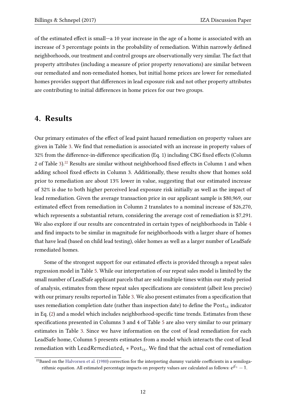of the estimated effect is small—a 10 year increase in the age of a home is associated with an increase of 3 percentage points in the probability of remediation. Within narrowly defined neighborhoods, our treatment and control groups are observationally very similar. The fact that property attributes (including a measure of prior property renovations) are similar between our remediated and non-remediated homes, but initial home prices are lower for remediated homes provides support that differences in lead exposure risk and not other property attributes are contributing to initial differences in home prices for our two groups.

#### <span id="page-13-0"></span>4. Results

Our primary estimates of the effect of lead paint hazard remediation on property values are given in Table [3.](#page-27-0) We find that remediation is associated with an increase in property values of 32% from the difference-in-difference specification (Eq. 1) including CBG fixed effects (Column 2 of Table [3\)](#page-27-0).<sup>[22](#page-13-1)</sup> Results are similar without neighborhood fixed effects in Column 1 and when adding school fixed effects in Column 3. Additionally, these results show that homes sold prior to remediation are about 13% lower in value, suggesting that our estimated increase of 32% is due to both higher perceived lead exposure risk initially as well as the impact of lead remediation. Given the average transaction price in our applicant sample is \$80,969, our estimated effect from remediation in Column 2 translates to a nominal increase of \$26,270, which represents a substantial return, considering the average cost of remediation is \$7,291. We also explore if our results are concentrated in certain types of neighborhoods in Table [4](#page-28-0) and find impacts to be similar in magnitude for neighborhoods with a larger share of homes that have lead (based on child lead testing), older homes as well as a larger number of LeadSafe remediated homes.

Some of the strongest support for our estimated effects is provided through a repeat sales regression model in Table [5.](#page-29-0) While our interpretation of our repeat sales model is limited by the small number of LeadSafe applicant parcels that are sold multiple times within our study period of analysis, estimates from these repeat sales specications are consistent (albeit less precise) with our primary results reported in Table [3.](#page-27-0) We also present estimates from a specification that uses remediation completion date (rather than inspection date) to define the  $Post_{it}$  indicator in Eq.  $(2)$  and a model which includes neighborhood-specific time trends. Estimates from these specifications presented in Columns 3 and 4 of Table [5](#page-29-0) are also very similar to our primary estimates in Table [3.](#page-27-0) Since we have information on the cost of lead remediation for each LeadSafe home, Column 5 presents estimates from a model which interacts the cost of lead remediation with LeadRemediated<sub>i</sub> \* Post<sub>it</sub>. We find that the actual cost of remediation

<span id="page-13-1"></span> $^{22}$ Based on the [Halvorsen et al.](#page-20-13) [\(1980\)](#page-20-13) correction for the interpreting dummy variable coefficients in a semilogarithmic equation. All estimated percentage impacts on property values are calculated as follows:  $e^{\hat{\beta_1}} - 1.$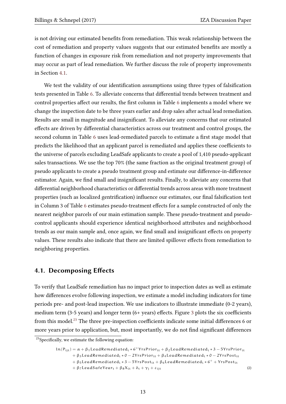is not driving our estimated benefits from remediation. This weak relationship between the cost of remediation and property values suggests that our estimated benefits are mostly a function of changes in exposure risk from remediation and not property improvements that may occur as part of lead remediation. We further discuss the role of property improvements in Section [4.1.](#page-14-0)

We test the validity of our identification assumptions using three types of falsification tests presented in Table [6.](#page-30-0) To alleviate concerns that differential trends between treatment and control properties affect our results, the first column in Table [6](#page-30-0) implements a model where we change the inspection date to be three years earlier and drop sales after actual lead remediation. Results are small in magnitude and insignificant. To alleviate any concerns that our estimated effects are driven by differential characteristics across our treatment and control groups, the second column in Table [6](#page-30-0) uses lead-remediated parcels to estimate a first stage model that predicts the likelihood that an applicant parcel is remediated and applies these coefficients to the universe of parcels excluding LeadSafe applicants to create a pool of 1,410 pseudo-applicant sales transactions. We use the top 70% (the same fraction as the original treatment group) of pseudo applicants to create a pseudo treatment group and estimate our difference-in-difference estimator. Again, we find small and insignificant results. Finally, to alleviate any concerns that differential neighborhood characteristics or differential trends across areas with more treatment properties (such as localized gentrification) influence our estimates, our final falsification test in Column 3 of Table [6](#page-30-0) estimates pseudo-treatment effects for a sample constructed of only the nearest neighbor parcels of our main estimation sample. These pseudo-treatment and pseudocontrol applicants should experience identical neighborhood attributes and neighborhood trends as our main sample and, once again, we find small and insignificant effects on property values. These results also indicate that there are limited spillover effects from remediation to neighboring properties.

#### <span id="page-14-0"></span>4.1. Decomposing Effects

To verify that LeadSafe remediation has no impact prior to inspection dates as well as estimate how differences evolve following inspection, we estimate a model including indicators for time periods pre- and post-lead inspection. We use indicators to illustrate immediate (0-2 years), medium term ([3](#page-24-0)-5 years) and longer term (6+ years) effects. Figure 3 plots the six coefficients from this model.<sup>[23](#page-14-2)</sup> The three pre-inspection coefficients indicate some initial differences 6 or more years prior to application, but, most importantly, we do not find significant differences

 $+$   $\beta_5$ LeadRemediated $_{{\rm i}}$  \* 3  $-$  5YrsPost $_{{\rm it}}$  +  $\beta_6$ LeadRemediated $_{{\rm i}}$  \*  $6^+$  + YrsPost $_{{\rm it}}$ 

<span id="page-14-2"></span> $23$ Specifically, we estimate the following equation:

ln $(P_{ijt}) = \alpha + \beta_1$ LeadRemediated<sub>i</sub> \* 6<sup>+</sup>YrsPrior<sub>it</sub> +  $\beta_2$ LeadRemediated<sub>i</sub> \* 3 – 5YrsPrior<sub>it</sub>  $+ \beta_3$ LeadRemediated<sub>i</sub> \* 0 − 2YrsPrior<sub>it</sub> +  $\beta_4$ LeadRemediated<sub>i</sub> \* 0 − 2YrsPost<sub>it</sub>

<span id="page-14-1"></span> $+ \beta_7$ LeadSafeYear<sub>t</sub> +  $\beta_8 X_{i,t} + \delta_t + \gamma_i + \varepsilon_{i,t}$  (2)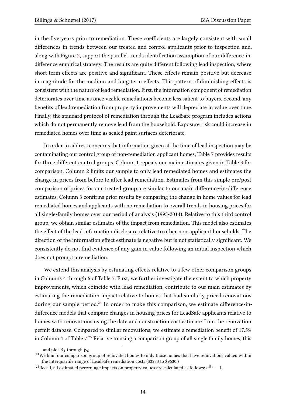in the five years prior to remediation. These coefficients are largely consistent with small differences in trends between our treated and control applicants prior to inspection and, along with Figure [2,](#page-23-0) support the parallel trends identification assumption of our difference-indifference empirical strategy. The results are quite different following lead inspection, where short term effects are positive and significant. These effects remain positive but decrease in magnitude for the medium and long term effects. This pattern of diminishing effects is consistent with the nature of lead remediation. First, the information component of remediation deteriorates over time as once visible remediations become less salient to buyers. Second, any benefits of lead remediation from property improvements will depreciate in value over time. Finally, the standard protocol of remediation through the LeadSafe program includes actions which do not permanently remove lead from the household. Exposure risk could increase in remediated homes over time as sealed paint surfaces deteriorate.

In order to address concerns that information given at the time of lead inspection may be contaminating our control group of non-remediation applicant homes, Table [7](#page-31-0) provides results for three different control groups. Column 1 repeats our main estimates given in Table [3](#page-27-0) for comparison. Column 2 limits our sample to only lead remediated homes and estimates the change in prices from before to after lead remediation. Estimates from this simple pre/post comparison of prices for our treated group are similar to our main difference-in-difference estimates. Column 3 confirms prior results by comparing the change in home values for lead remediated homes and applicants with no remediation to overall trends in housing prices for all single-family homes over our period of analysis (1995-2014). Relative to this third control group, we obtain similar estimates of the impact from remediation. This model also estimates the effect of the lead information disclosure relative to other non-applicant households. The direction of the information effect estimate is negative but is not statistically significant. We consistently do not find evidence of any gain in value following an initial inspection which does not prompt a remediation.

We extend this analysis by estimating effects relative to a few other comparison groups in Columns 4 through 6 of Table [7.](#page-31-0) First, we further investigate the extent to which property improvements, which coincide with lead remediation, contribute to our main estimates by estimating the remediation impact relative to homes that had similarly priced renovations during our sample period.<sup>[24](#page-15-0)</sup> In order to make this comparison, we estimate difference-indifference models that compare changes in housing prices for LeadSafe applicants relative to homes with renovations using the date and construction cost estimate from the renovation permit database. Compared to similar renovations, we estimate a remediation benefit of 17.5% in Column 4 of Table [7.](#page-31-0) [25](#page-15-1) Relative to using a comparison group of all single family homes, this

and plot  $β_1$  through  $β_6$ .

<span id="page-15-0"></span> $24$ We limit our comparison group of renovated homes to only those homes that have renovations valued within the interquartile range of LeadSafe remediation costs (\$3283 to \$9630.)

<span id="page-15-1"></span><sup>&</sup>lt;sup>25</sup>Recall, all estimated percentage impacts on property values are calculated as follows:  $e^{\hat{\beta_1}} - 1$ .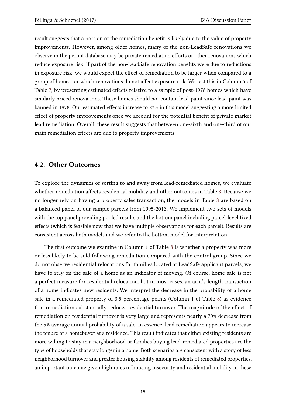result suggests that a portion of the remediation benefit is likely due to the value of property improvements. However, among older homes, many of the non-LeadSafe renovations we observe in the permit database may be private remediation efforts or other renovations which reduce exposure risk. If part of the non-LeadSafe renovation benefits were due to reductions in exposure risk, we would expect the effect of remediation to be larger when compared to a group of homes for which renovations do not affect exposure risk. We test this in Column 5 of Table [7,](#page-31-0) by presenting estimated effects relative to a sample of post-1978 homes which have similarly priced renovations. These homes should not contain lead-paint since lead-paint was banned in 1978. Our estimated effects increase to 23% in this model suggesting a more limited effect of property improvements once we account for the potential benefit of private market lead remediation. Overall, these result suggests that between one-sixth and one-third of our main remediation effects are due to property improvements.

#### 4.2. Other Outcomes

To explore the dynamics of sorting to and away from lead-remediated homes, we evaluate whether remediation affects residential mobility and other outcomes in Table [8.](#page-32-0) Because we no longer rely on having a property sales transaction, the models in Table [8](#page-32-0) are based on a balanced panel of our sample parcels from 1995-2013. We implement two sets of models with the top panel providing pooled results and the bottom panel including parcel-level fixed effects (which is feasible now that we have multiple observations for each parcel). Results are consistent across both models and we refer to the bottom model for interpretation.

The first outcome we examine in Column 1 of Table [8](#page-32-0) is whether a property was more or less likely to be sold following remediation compared with the control group. Since we do not observe residential relocations for families located at LeadSafe applicant parcels, we have to rely on the sale of a home as an indicator of moving. Of course, home sale is not a perfect measure for residential relocation, but in most cases, an arm's-length transaction of a home indicates new residents. We interpret the decrease in the probability of a home sale in a remediated property of 3.5 percentage points (Column 1 of Table [8\)](#page-32-0) as evidence that remediation substantially reduces residential turnover. The magnitude of the effect of remediation on residential turnover is very large and represents nearly a 70% decrease from the 5% average annual probability of a sale. In essence, lead remediation appears to increase the tenure of a homebuyer at a residence. This result indicates that either existing residents are more willing to stay in a neighborhood or families buying lead-remediated properties are the type of households that stay longer in a home. Both scenarios are consistent with a story of less neighborhood turnover and greater housing stability among residents of remediated properties, an important outcome given high rates of housing insecurity and residential mobility in these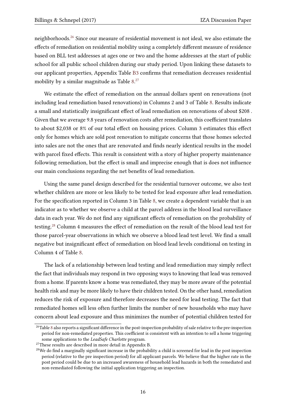neighborhoods.[26](#page-17-0) Since our measure of residential movement is not ideal, we also estimate the effects of remediation on residential mobility using a completely different measure of residence based on BLL test addresses at ages one or two and the home addresses at the start of public school for all public school children during our study period. Upon linking these datasets to our applicant properties, Appendix Table [B3](#page-37-0) confirms that remediation decreases residential mobility by a similar magnitude as Table [8.](#page-32-0) [27](#page-17-1)

We estimate the effect of remediation on the annual dollars spent on renovations (not including lead remediation based renovations) in Columns 2 and 3 of Table [8.](#page-32-0) Results indicate a small and statistically insignificant effect of lead remediation on renovations of about \$208. Given that we average 9.8 years of renovation costs after remediation, this coefficient translates to about \$2,038 or  $8\%$  of our total effect on housing prices. Column 3 estimates this effect only for homes which are sold post renovation to mitigate concerns that those homes selected into sales are not the ones that are renovated and finds nearly identical results in the model with parcel fixed effects. This result is consistent with a story of higher property maintenance following remediation, but the effect is small and imprecise enough that is does not influence our main conclusions regarding the net benefits of lead remediation.

Using the same panel design described for the residential turnover outcome, we also test whether children are more or less likely to be tested for lead exposure after lead remediation. For the specification reported in Column 3 in Table [8,](#page-32-0) we create a dependent variable that is an indicator as to whether we observe a child at the parcel address in the blood lead surveillance data in each year. We do not find any significant effects of remediation on the probability of testing.<sup>[28](#page-17-2)</sup> Column 4 measures the effect of remediation on the result of the blood lead test for those parcel-year observations in which we observe a blood lead test level. We find a small negative but insignificant effect of remediation on blood lead levels conditional on testing in Column 4 of Table [8.](#page-32-0)

The lack of a relationship between lead testing and lead remediation may simply reflect the fact that individuals may respond in two opposing ways to knowing that lead was removed from a home. If parents know a home was remediated, they may be more aware of the potential health risk and may be more likely to have their children tested. On the other hand, remediation reduces the risk of exposure and therefore decreases the need for lead testing. The fact that remediated homes sell less often further limits the number of new households who may have concern about lead exposure and thus minimizes the number of potential children tested for

<span id="page-17-0"></span> $26$ Table [8](#page-32-0) also reports a significant difference in the post-inspection probability of sale relative to the pre-inspection period for non-remediated properties. This coefficient is consistent with an intention to sell a home triggering some applications to the LeadSafe Charlotte program.

<span id="page-17-1"></span><sup>&</sup>lt;sup>27</sup>These results are described in more detail in Appendix B.

<span id="page-17-2"></span> $28$ We do find a marginally significant increase in the probability a child is screened for lead in the post inspection period (relative to the pre inspection period) for all applicant parcels. We believe that the higher rate in the post period could be due to an increased awareness of household lead hazards in both the remediated and non-remediated following the initial application triggering an inspection.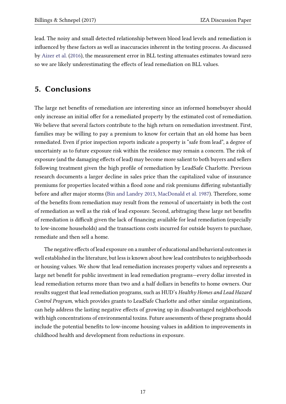lead. The noisy and small detected relationship between blood lead levels and remediation is influenced by these factors as well as inaccuracies inherent in the testing process. As discussed by [Aizer et al.](#page-19-0) [\(2016\)](#page-19-0), the measurement error in BLL testing attenuates estimates toward zero so we are likely underestimating the effects of lead remediation on BLL values.

### <span id="page-18-0"></span>5. Conclusions

The large net benefits of remediation are interesting since an informed homebuyer should only increase an initial offer for a remediated property by the estimated cost of remediation. We believe that several factors contribute to the high return on remediation investment. First, families may be willing to pay a premium to know for certain that an old home has been remediated. Even if prior inspection reports indicate a property is "safe from lead", a degree of uncertainty as to future exposure risk within the residence may remain a concern. The risk of exposure (and the damaging effects of lead) may become more salient to both buyers and sellers following treatment given the high profile of remediation by LeadSafe Charlotte. Previous research documents a larger decline in sales price than the capitalized value of insurance premiums for properties located within a flood zone and risk premiums differing substantially before and after major storms [\(Bin and Landry](#page-19-6) [2013,](#page-19-6) [MacDonald et al.](#page-20-10) [1987\)](#page-20-10). Therefore, some of the benefits from remediation may result from the removal of uncertainty in both the cost of remediation as well as the risk of lead exposure. Second, arbitraging these large net benefits of remediation is difficult given the lack of financing available for lead remediation (especially to low-income households) and the transactions costs incurred for outside buyers to purchase, remediate and then sell a home.

The negative effects of lead exposure on a number of educational and behavioral outcomes is well established in the literature, but less is known about how lead contributes to neighborhoods or housing values. We show that lead remediation increases property values and represents a large net benefit for public investment in lead remediation programs-every dollar invested in lead remediation returns more than two and a half dollars in benefits to home owners. Our results suggest that lead remediation programs, such as HUD's Healthy Homes and Lead Hazard Control Program, which provides grants to LeadSafe Charlotte and other similar organizations, can help address the lasting negative effects of growing up in disadvantaged neighborhoods with high concentrations of environmental toxins. Future assessments of these programs should include the potential benefits to low-income housing values in addition to improvements in childhood health and development from reductions in exposure.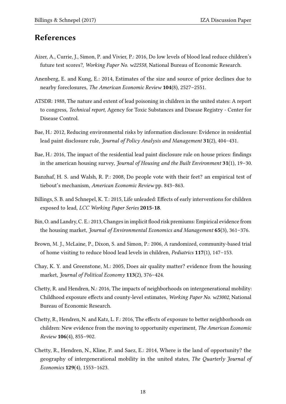#### References

- <span id="page-19-0"></span>Aizer, A., Currie, J., Simon, P. and Vivier, P.: 2016, Do low levels of blood lead reduce children's future test scores?, Working Paper No. w22558, National Bureau of Economic Research.
- <span id="page-19-12"></span>Anenberg, E. and Kung, E.: 2014, Estimates of the size and source of price declines due to nearby foreclosures, The American Economic Review 104(8), 2527–2551.
- <span id="page-19-8"></span>ATSDR: 1988, The nature and extent of lead poisoning in children in the united states: A report to congress, Technical report, Agency for Toxic Substances and Disease Registry - Center for Disease Control.
- <span id="page-19-10"></span>Bae, H.: 2012, Reducing environmental risks by information disclosure: Evidence in residential lead paint disclosure rule, Journal of Policy Analysis and Management 31(2), 404-431.
- <span id="page-19-9"></span>Bae, H.: 2016, The impact of the residential lead paint disclosure rule on house prices: findings in the american housing survey, Journal of Housing and the Built Environment 31(1), 19–30.
- <span id="page-19-5"></span>Banzhaf, H. S. and Walsh, R. P.: 2008, Do people vote with their feet? an empirical test of tiebout's mechanism, American Economic Review pp. 843–863.
- <span id="page-19-7"></span>Billings, S. B. and Schnepel, K. T.: 2015, Life unleaded: Effects of early interventions for children exposed to lead, LCC Working Paper Series 2015-18.
- <span id="page-19-6"></span>Bin, O. and Landry, C. E.: 2013, Changes in implicit flood risk premiums: Empirical evidence from the housing market, *Journal of Environmental Economics and Management* 65(3), 361-376.
- <span id="page-19-11"></span>Brown, M. J., McLaine, P., Dixon, S. and Simon, P.: 2006, A randomized, community-based trial of home visiting to reduce blood lead levels in children, Pediatrics 117(1), 147–153.
- <span id="page-19-4"></span>Chay, K. Y. and Greenstone, M.: 2005, Does air quality matter? evidence from the housing market, Journal of Political Economy 113(2), 376–424.
- <span id="page-19-2"></span>Chetty, R. and Hendren, N.: 2016, The impacts of neighborhoods on intergenerational mobility: Childhood exposure effects and county-level estimates, Working Paper No. w23002, National Bureau of Economic Research.
- <span id="page-19-1"></span>Chetty, R., Hendren, N. and Katz, L. F.: 2016, The effects of exposure to better neighborhoods on children: New evidence from the moving to opportunity experiment, The American Economic Review 106(4), 855–902.
- <span id="page-19-3"></span>Chetty, R., Hendren, N., Kline, P. and Saez, E.: 2014, Where is the land of opportunity? the geography of intergenerational mobility in the united states, The Quarterly Journal of Economics 129(4), 1553–1623.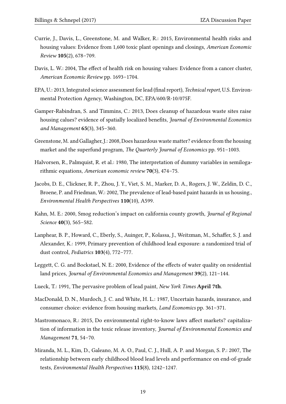- <span id="page-20-3"></span>Currie, J., Davis, L., Greenstone, M. and Walker, R.: 2015, Environmental health risks and housing values: Evidence from 1,600 toxic plant openings and closings, American Economic Review 105(2), 678–709.
- <span id="page-20-5"></span>Davis, L. W.: 2004, The effect of health risk on housing values: Evidence from a cancer cluster, American Economic Review pp. 1693–1704.
- <span id="page-20-9"></span>EPA, U.: 2013, Integrated science assessment for lead (final report), *Technical report*, U.S. Environmental Protection Agency, Washington, DC, EPA/600/R-10/075F.
- <span id="page-20-1"></span>Gamper-Rabindran, S. and Timmins, C.: 2013, Does cleanup of hazardous waste sites raise housing calues? evidence of spatially localized benefits, *Journal of Environmental Economics* and Management 65(3), 345–360.
- <span id="page-20-2"></span>Greenstone,M. and Gallagher, J.: 2008, Does hazardous waste matter? evidence from the housing market and the superfund program, The Quarterly Journal of Economics pp. 951–1003.
- <span id="page-20-13"></span>Halvorsen, R., Palmquist, R. et al.: 1980, The interpretation of dummy variables in semilogarithmic equations, American economic review 70(3), 474–75.
- <span id="page-20-8"></span>Jacobs, D. E., Clickner, R. P., Zhou, J. Y., Viet, S. M., Marker, D. A., Rogers, J. W., Zeldin, D. C., Broene, P. and Friedman, W.: 2002, The prevalence of lead-based paint hazards in us housing., Environmental Health Perspectives 110(10), A599.
- <span id="page-20-7"></span>Kahn, M. E.: 2000, Smog reduction's impact on california county growth, *Journal of Regional* Science 40(3), 565-582.
- <span id="page-20-12"></span>Lanphear, B. P., Howard, C., Eberly, S., Auinger, P., Kolassa, J., Weitzman, M., Schaffer, S. J. and Alexander, K.: 1999, Primary prevention of childhood lead exposure: a randomized trial of dust control, Pediatrics 103(4), 772–777.
- <span id="page-20-6"></span>Leggett, C. G. and Bockstael, N. E.: 2000, Evidence of the effects of water quality on residential land prices, Journal of Environmental Economics and Management 39(2), 121-144.
- <span id="page-20-11"></span>Lueck, T.: 1991, The pervasive problem of lead paint, New York Times April 7th.
- <span id="page-20-10"></span>MacDonald, D. N., Murdoch, J. C. and White, H. L.: 1987, Uncertain hazards, insurance, and consumer choice: evidence from housing markets, Land Economics pp. 361–371.
- <span id="page-20-4"></span>Mastromonaco, R.: 2015, Do environmental right-to-know laws affect markets? capitalization of information in the toxic release inventory, Journal of Environmental Economics and Management 71, 54–70.
- <span id="page-20-0"></span>Miranda, M. L., Kim, D., Galeano, M. A. O., Paul, C. J., Hull, A. P. and Morgan, S. P.: 2007, The relationship between early childhood blood lead levels and performance on end-of-grade tests, Environmental Health Perspectives 115(8), 1242–1247.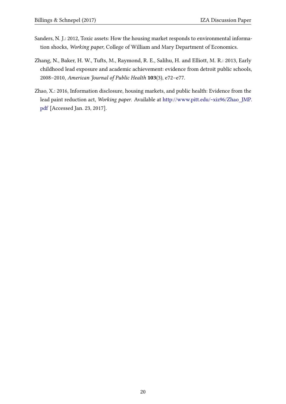- <span id="page-21-1"></span>Sanders, N. J.: 2012, Toxic assets: How the housing market responds to environmental information shocks, Working paper, College of William and Mary Department of Economics.
- <span id="page-21-0"></span>Zhang, N., Baker, H. W., Tufts, M., Raymond, R. E., Salihu, H. and Elliott, M. R.: 2013, Early childhood lead exposure and academic achievement: evidence from detroit public schools, 2008–2010, American Journal of Public Health 103(3), e72–e77.
- <span id="page-21-2"></span>Zhao, X.: 2016, Information disclosure, housing markets, and public health: Evidence from the lead paint reduction act, Working paper. Available at [http://www.pitt.edu/~xiz96/Zhao\\_JMP.](http://www.pitt.edu/~xiz96/Zhao_JMP.pdf) [pdf](http://www.pitt.edu/~xiz96/Zhao_JMP.pdf) [Accessed Jan. 23, 2017].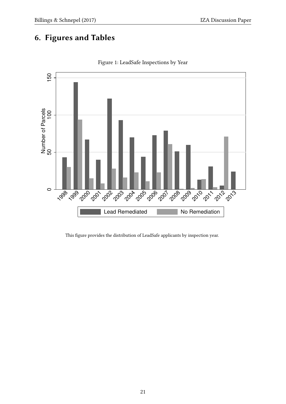## 6. Figures and Tables

<span id="page-22-0"></span>

Figure 1: LeadSafe Inspections by Year

This figure provides the distribution of LeadSafe applicants by inspection year.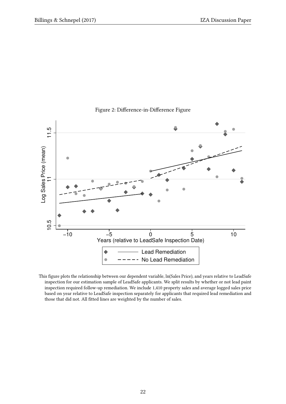<span id="page-23-0"></span>

#### Figure 2: Difference-in-Difference Figure

This figure plots the relationship between our dependent variable, ln(Sales Price), and years relative to LeadSafe inspection for our estimation sample of LeadSafe applicants. We split results by whether or not lead paint inspection required follow-up remediation. We include 1,410 property sales and average logged sales price based on year relative to LeadSafe inspection separately for applicants that required lead remediation and those that did not. All fitted lines are weighted by the number of sales.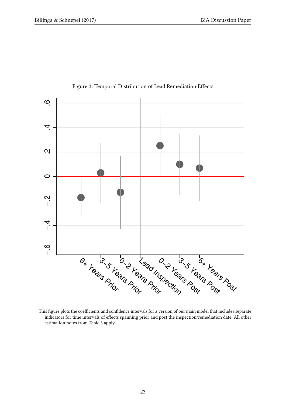<span id="page-24-0"></span>

Figure 3: Temporal Distribution of Lead Remediation Effects

This figure plots the coefficients and confidence intervals for a version of our main model that includes separate indicators for time intervals of effects spanning prior and post the inspection/remediation date. All other estimation notes from Table [3](#page-27-0) apply.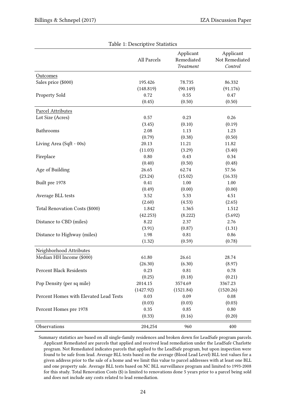<span id="page-25-0"></span>

| Table 1: Descriptive Statistics        |             |                                             |                                        |  |  |
|----------------------------------------|-------------|---------------------------------------------|----------------------------------------|--|--|
|                                        | All Parcels | Applicant<br>Remediated<br><b>Treatment</b> | Applicant<br>Not Remediated<br>Control |  |  |
| Outcomes                               |             |                                             |                                        |  |  |
| Sales price (\$000)                    | 195.426     | 78.735                                      | 86.332                                 |  |  |
|                                        | (148.819)   | (90.149)                                    | (91.176)                               |  |  |
| Property Sold                          | 0.72        | 0.55                                        | 0.47                                   |  |  |
|                                        | (0.45)      | (0.50)                                      | (0.50)                                 |  |  |
| Parcel Attributes                      |             |                                             |                                        |  |  |
| Lot Size (Acres)                       | 0.57        | 0.23                                        | 0.26                                   |  |  |
|                                        | (3.45)      | (0.10)                                      | (0.19)                                 |  |  |
| Bathrooms                              | 2.08        | 1.13                                        | 1.23                                   |  |  |
|                                        | (0.79)      | (0.38)                                      | (0.50)                                 |  |  |
| Living Area (Sqft - 00s)               | 20.13       | 11.21                                       | 11.82                                  |  |  |
|                                        | (11.03)     | (3.29)                                      | (3.40)                                 |  |  |
| Fireplace                              | 0.80        | 0.43                                        | 0.34                                   |  |  |
|                                        | (0.40)      | (0.50)                                      | (0.48)                                 |  |  |
| Age of Building                        | 26.65       | 62.74                                       | 57.56                                  |  |  |
|                                        | (23.24)     | (15.02)                                     | (16.33)                                |  |  |
| Built pre 1978                         | 0.41        | 1.00                                        | 1.00                                   |  |  |
|                                        | (0.49)      | (0.00)                                      | (0.00)                                 |  |  |
| Average BLL tests                      | 3.52        | 5.33                                        | 4.51                                   |  |  |
|                                        | (2.60)      | (4.53)                                      | (2.65)                                 |  |  |
| Total Renovation Costs (\$000)         | 1.842       | 1.365                                       | 1.512                                  |  |  |
|                                        | (42.253)    | (8.222)                                     | (5.692)                                |  |  |
| Distance to CBD (miles)                | 8.22        | 2.37                                        | 2.76                                   |  |  |
|                                        | (3.91)      | (0.87)                                      | (1.31)                                 |  |  |
| Distance to Highway (miles)            | 1.98        | 0.81                                        | 0.86                                   |  |  |
|                                        | (1.32)      | (0.59)                                      | (0.78)                                 |  |  |
| Neighborhood Attributes                |             |                                             |                                        |  |  |
| Median HH Income (\$000)               | 61.80       | 26.61                                       | 28.74                                  |  |  |
|                                        | (26.30)     | (6.30)                                      | (8.97)                                 |  |  |
| Percent Black Residents                | 0.23        | 0.81                                        | 0.78                                   |  |  |
|                                        | (0.25)      | (0.18)                                      | (0.21)                                 |  |  |
| Pop Density (per sq mile)              | 2014.15     | 3574.69                                     | 3367.23                                |  |  |
|                                        | (1427.92)   | (1521.84)                                   | (1520.26)                              |  |  |
| Percent Homes with Elevated Lead Tests | 0.03        | 0.09                                        | 0.08                                   |  |  |
|                                        | (0.03)      | (0.03)                                      | (0.03)                                 |  |  |
| Percent Homes pre 1978                 | 0.35        | 0.85                                        | 0.80                                   |  |  |
|                                        | (0.33)      | (0.16)                                      | (0.20)                                 |  |  |
|                                        |             |                                             |                                        |  |  |
| Observations                           | 204,254     | 960                                         | 400                                    |  |  |

Summary statistics are based on all single-family residences and broken down for LeadSafe program parcels. Applicant Remediated are parcels that applied and received lead remediation under the LeadSafe Charlotte program. Not Remediated indicates parcels that applied to the LeadSafe program, but upon inspection were found to be safe from lead. Average BLL tests based on the average (Blood Lead Level) BLL test values for a given address prior to the sale of a home and we limit this value to parcel addresses with at least one BLL and one property sale. Average BLL tests based on NC BLL surveillance program and limited to 1993-2008 for this study. Total Renovation Costs (\$) is limited to renovations done 5 years prior to a parcel being sold and does not include any costs related to lead remediation.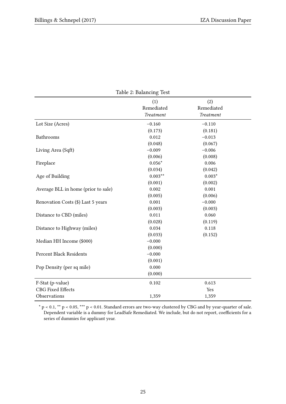<span id="page-26-0"></span>

|                                     | Table 2. Dalancing Test               |                                       |  |  |  |  |
|-------------------------------------|---------------------------------------|---------------------------------------|--|--|--|--|
|                                     | (1)<br>Remediated<br><b>Treatment</b> | (2)<br>Remediated<br><b>Treatment</b> |  |  |  |  |
| Lot Size (Acres)                    | $-0.160$                              | $-0.110$                              |  |  |  |  |
|                                     | (0.173)                               | (0.181)                               |  |  |  |  |
| Bathrooms                           | 0.012                                 | $-0.013$                              |  |  |  |  |
|                                     | (0.048)                               | (0.067)                               |  |  |  |  |
| Living Area (Sqft)                  | $-0.009$                              | $-0.006$                              |  |  |  |  |
|                                     | (0.006)                               | (0.008)                               |  |  |  |  |
| Fireplace                           | $0.056*$                              | 0.006                                 |  |  |  |  |
|                                     | (0.034)                               | (0.042)                               |  |  |  |  |
| Age of Building                     | $0.003**$                             | $0.003*$                              |  |  |  |  |
|                                     | (0.001)                               | (0.002)                               |  |  |  |  |
| Average BLL in home (prior to sale) | 0.002                                 | 0.001                                 |  |  |  |  |
|                                     | (0.005)                               | (0.006)                               |  |  |  |  |
| Renovation Costs (\$) Last 5 years  | 0.001                                 | $-0.000$                              |  |  |  |  |
|                                     | (0.003)                               | (0.003)                               |  |  |  |  |
| Distance to CBD (miles)             | 0.011                                 | 0.060                                 |  |  |  |  |
|                                     | (0.028)                               | (0.119)                               |  |  |  |  |
| Distance to Highway (miles)         | 0.034                                 | 0.118                                 |  |  |  |  |
|                                     | (0.033)                               | (0.152)                               |  |  |  |  |
| Median HH Income (\$000)            | $-0.000$                              |                                       |  |  |  |  |
|                                     | (0.000)                               |                                       |  |  |  |  |
| <b>Percent Black Residents</b>      | $-0.000$                              |                                       |  |  |  |  |
|                                     | (0.001)                               |                                       |  |  |  |  |
| Pop Density (per sq mile)           | 0.000                                 |                                       |  |  |  |  |
|                                     | (0.000)                               |                                       |  |  |  |  |
| F-Stat (p-value)                    | 0.102                                 | 0.613                                 |  |  |  |  |
| <b>CBG Fixed Effects</b>            |                                       | Yes                                   |  |  |  |  |
| Observations                        | 1,359                                 | 1,359                                 |  |  |  |  |

Table 2: Balancing Test

\* p < 0.1, \*\* p < 0.05, \*\*\* p < 0.01. Standard errors are two-way clustered by CBG and by year-quarter of sale. Dependent variable is a dummy for LeadSafe Remediated. We include, but do not report, coefficients for a series of dummies for applicant year.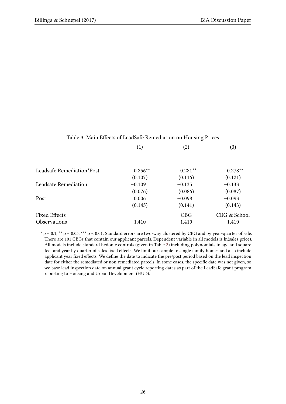<span id="page-27-0"></span>

| Table 3: Main Effects of LeadSafe Remediation on Housing Prices |            |           |              |
|-----------------------------------------------------------------|------------|-----------|--------------|
|                                                                 | (1)        | (2)       | (3)          |
| Leadsafe Remediation*Post                                       | $0.256***$ | $0.281**$ | $0.278**$    |
|                                                                 | (0.107)    | (0.116)   | (0.121)      |
| Leadsafe Remediation                                            | $-0.109$   | $-0.135$  | $-0.133$     |
|                                                                 | (0.076)    | (0.086)   | (0.087)      |
| Post                                                            | 0.006      | $-0.098$  | $-0.093$     |
|                                                                 | (0.145)    | (0.141)   | (0.143)      |
| <b>Fixed Effects</b>                                            |            | CBG       | CBG & School |
| <b>Observations</b>                                             | 1,410      | 1,410     | 1,410        |

\* p < 0.1, \*\* p < 0.05, \*\*\* p < 0.01. Standard errors are two-way clustered by CBG and by year-quarter of sale. There are 101 CBGs that contain our applicant parcels. Dependent variable in all models is ln(sales price). All models include standard hedonic controls (given in Table [2\)](#page-26-0) including polynomials in age and square feet and year by quarter of sales fixed effects. We limit our sample to single family homes and also include applicant year fixed effects. We define the date to indicate the pre/post period based on the lead inspection date for either the remediated or non-remediated parcels. In some cases, the specific date was not given, so we base lead inspection date on annual grant cycle reporting dates as part of the LeadSafe grant program reporting to Housing and Urban Development (HUD).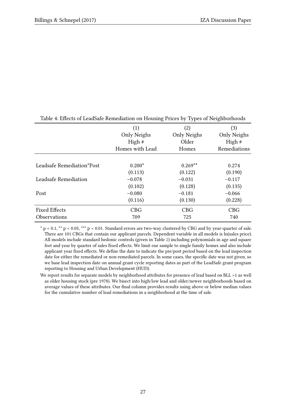| able 1. Encelo of Beaucule Remembers on Housing Friegs of Types of Freighbornoods |                 |             |              |  |  |
|-----------------------------------------------------------------------------------|-----------------|-------------|--------------|--|--|
|                                                                                   | (1)             | (2)         | (3)          |  |  |
|                                                                                   | Only Neighs     | Only Neighs | Only Neighs  |  |  |
|                                                                                   | High $#$        | Older       | High $#$     |  |  |
|                                                                                   | Homes with Lead | Homes       | Remediations |  |  |
|                                                                                   |                 |             |              |  |  |
| Leadsafe Remediation*Post                                                         | $0.200*$        | $0.269**$   | 0.274        |  |  |
|                                                                                   | (0.113)         | (0.122)     | (0.190)      |  |  |
| Leadsafe Remediation                                                              | $-0.078$        | $-0.031$    | $-0.117$     |  |  |
|                                                                                   | (0.102)         | (0.128)     | (0.135)      |  |  |
| Post                                                                              | $-0.080$        | $-0.181$    | $-0.066$     |  |  |
|                                                                                   | (0.116)         | (0.130)     | (0.228)      |  |  |
| <b>Fixed Effects</b>                                                              | <b>CBG</b>      | <b>CBG</b>  | <b>CBG</b>   |  |  |
| Observations                                                                      | 709             | 725         | 740          |  |  |

<span id="page-28-0"></span>Table 4: Effects of LeadSafe Remediation on Housing Prices by Types of Neighborhoods

 $* p < 0.1$ ,  $** p < 0.05$ ,  $*** p < 0.01$ . Standard errors are two-way clustered by CBG and by year-quarter of sale. There are 101 CBGs that contain our applicant parcels. Dependent variable in all models is ln(sales price). All models include standard hedonic controls (given in Table [2\)](#page-26-0) including polynomials in age and square feet and year by quarter of sales fixed effects. We limit our sample to single family homes and also include applicant year fixed effects. We define the date to indicate the pre/post period based on the lead inspection date for either the remediated or non-remediated parcels. In some cases, the specific date was not given, so we base lead inspection date on annual grant cycle reporting dates as part of the LeadSafe grant program reporting to Housing and Urban Development (HUD).

We report results for separate models by neighborhood attributes for presence of lead based on BLL >1 as well as older housing stock (pre 1978). We bisect into high/low lead and older/newer neighborhoods based on average values of these attributes. Our final column provides results using above or below median values for the cumulative number of lead remediations in a neighborhood at the time of sale.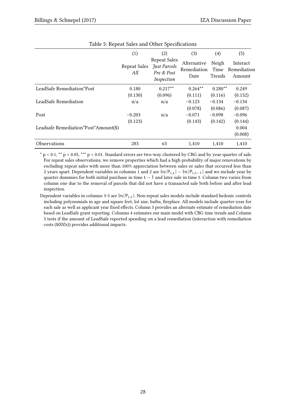<span id="page-29-0"></span>

|                                      | (1)                        | (2)                                                                    | (3)                                | (4)                     | (5)                               |
|--------------------------------------|----------------------------|------------------------------------------------------------------------|------------------------------------|-------------------------|-----------------------------------|
|                                      | <b>Repeat Sales</b><br>All | <b>Repeat Sales</b><br><b>Fust Parcels</b><br>Pre & Post<br>Inspection | Alternative<br>Remediation<br>Date | Neigh<br>Time<br>Trends | Interact<br>Remediation<br>Amount |
| LeadSafe Remediation*Post            | 0.180                      | $0.217**$                                                              | $0.264**$                          | $0.280**$               | 0.249                             |
|                                      | (0.130)                    | (0.096)                                                                | (0.111)                            | (0.116)                 | (0.152)                           |
| LeadSafe Remediation                 | n/a                        | n/a                                                                    | $-0.123$                           | $-0.134$                | $-0.134$                          |
|                                      |                            |                                                                        | (0.078)                            | (0.086)                 | (0.087)                           |
| Post                                 | $-0.203$                   | n/a                                                                    | $-0.071$                           | $-0.098$                | $-0.096$                          |
|                                      | (0.123)                    |                                                                        | (0.143)                            | (0.142)                 | (0.144)                           |
| Leadsafe Remediation*Post*Amount(\$) |                            |                                                                        |                                    |                         | 0.004                             |
|                                      |                            |                                                                        |                                    |                         | (0.008)                           |
| Observations                         | 283                        | 63                                                                     | 1,410                              | 1,410                   | 1,410                             |

Table 5: Repeat Sales and Other Specifications

 $*$  p < 0.1,  $**$  p < 0.05,  $***$  p < 0.01. Standard errors are two-way clustered by CBG and by year-quarter of sale. For repeat sales observations, we remove properties which had a high probability of major renovations by excluding repeat sales with more than 100% appreciation between sales or sales that occurred less than 2 years apart. Dependent variables in columns 1 and 2 are  $ln(P_{i,t}) - ln(P_{i,t-1})$  and we include year by quarter dummies for both initial purchase in time  $t - 1$  and later sale in time t. Column two varies from column one due to the removal of parcels that did not have a transacted sale both before and after lead inspection.

Dependent variables in columns 3-5 are  $\ln(P_{i,t})$ . Non-repeat sales models include standard hedonic controls including polynomials in age and square feet, lot size, baths, fireplace. All models include quarter-year for each sale as well as applicant year fixed effects. Column 3 provides an alternate estimate of remediation date based on LeadSafe grant reporting. Columns 4 estimates our main model with CBG time trends and Column 5 tests if the amount of LeadSafe reported spending on a lead remediation (interaction with remediation costs (\$000s)) provides additional impacts.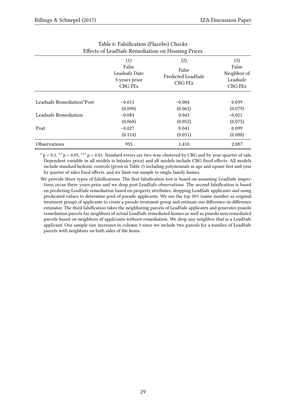<span id="page-30-0"></span>

| Effects of LeadSafe Remediation on Housing Prices |                                                           |                                               |                                                    |  |  |
|---------------------------------------------------|-----------------------------------------------------------|-----------------------------------------------|----------------------------------------------------|--|--|
|                                                   | (1)<br>False<br>Leadsafe Date<br>3 years prior<br>CBG FEs | (2)<br>False<br>Predicted LeadSafe<br>CBG FEs | (3)<br>False<br>Neighbor of<br>Leadsafe<br>CBG FEs |  |  |
| Leadsafe Remediation*Post                         | $-0.011$                                                  | $-0.004$                                      | 0.039                                              |  |  |
|                                                   | (0.090)                                                   | (0.065)                                       | (0.079)                                            |  |  |
| Leadsafe Remediation                              | $-0.084$                                                  | 0.043                                         | $-0.021$                                           |  |  |
|                                                   | (0.068)                                                   | (0.052)                                       | (0.075)                                            |  |  |
| Post                                              | $-0.027$                                                  | 0.041                                         | 0.099                                              |  |  |
|                                                   | (0.114)                                                   | (0.051)                                       | (0.088)                                            |  |  |
| Observations                                      | 955                                                       | 1,410                                         | 2,087                                              |  |  |

# Table 6: Falsification (Placebo) Checks

 $* p < 0.1$ ,  $** p < 0.05$ ,  $*** p < 0.01$ . Standard errors are two-way clustered by CBG and by year-quarter of sale. Dependent variable in all models is ln(sales price) and all models include CBG fixed effects. All models include standard hedonic controls (given in Table [2\)](#page-26-0) including polynomials in age and square feet and year by quarter of sales fixed effects. and we limit our sample to single family homes.

We provide three types of falsifications. The first falsification test is based on assuming LeadSafe inspections occur three years prior and we drop post LeadSafe observations. The second falsification is based on predicting LeadSafe remediation based on property attributes, dropping LeadSafe applicants and using predicated values to determine pool of pseudo applicants. We use the top 30% (same number as original treatment group) of applicants to create a pseudo treatment group and estimate our difference-in-difference estimator. The third falsification takes the neighboring parcels of LeadSafe applicants and generates psuedo remediation parcels for neighbors of actual LeadSafe remediated homes as well as psuedo non-remediated parcels based on neighbors of applicants without remediation. We drop any neighbor that is a LeadSafe applicant. Our sample size increases in column 3 since we include two parcels for a number of LeadSafe parcels with neighbors on both sides of the home.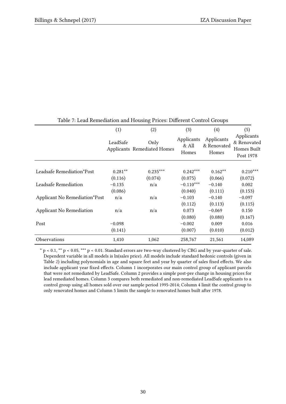<span id="page-31-0"></span>

|                                 | (1)       | (2)                                        | (3)                          | (4)                                | (5)                                                   |
|---------------------------------|-----------|--------------------------------------------|------------------------------|------------------------------------|-------------------------------------------------------|
|                                 | LeadSafe  | Only<br><b>Applicants Remediated Homes</b> | Applicants<br>& All<br>Homes | Applicants<br>& Renovated<br>Homes | Applicants<br>& Renovated<br>Homes Built<br>Post 1978 |
| Leadsafe Remediation*Post       | $0.281**$ | $0.235***$                                 | $0.242***$                   | $0.162**$                          | $0.210***$                                            |
|                                 | (0.116)   | (0.074)                                    | (0.075)                      | (0.066)                            | (0.072)                                               |
| Leadsafe Remediation            | $-0.135$  | n/a                                        | $-0.110***$                  | $-0.140$                           | 0.002                                                 |
|                                 | (0.086)   |                                            | (0.040)                      | (0.111)                            | (0.153)                                               |
| Applicant No Remediation*Post   | n/a       | n/a                                        | $-0.103$                     | $-0.140$                           | $-0.097$                                              |
|                                 |           |                                            | (0.112)                      | (0.113)                            | (0.115)                                               |
| <b>Applicant No Remediation</b> | n/a       | n/a                                        | 0.073                        | $-0.069$                           | 0.150                                                 |
|                                 |           |                                            | (0.080)                      | (0.080)                            | (0.167)                                               |
| Post                            | $-0.098$  |                                            | $-0.002$                     | 0.009                              | 0.016                                                 |
|                                 | (0.141)   |                                            | (0.007)                      | (0.010)                            | (0.012)                                               |
| <b>Observations</b>             | 1,410     | 1,062                                      | 258,767                      | 21,561                             | 14,089                                                |

Table 7: Lead Remediation and Housing Prices: Different Control Groups

 $*$  p < 0.1,  $**$  p < 0.05,  $***$  p < 0.01. Standard errors are two-way clustered by CBG and by year-quarter of sale. Dependent variable in all models is ln(sales price). All models include standard hedonic controls (given in Table [2\)](#page-26-0) including polynomials in age and square feet and year by quarter of sales fixed effects. We also include applicant year fixed effects. Column 1 incorporates our main control group of applicant parcels that were not remediated by LeadSafe. Column 2 provides a simple post-pre change in housing prices for lead remediated homes. Column 3 compares both remediated and non-remediated LeadSafe applicants to a control group using all homes sold over our sample period 1995-2014; Column 4 limit the control group to only renovated homes and Column 5 limits the sample to renovated homes built after 1978.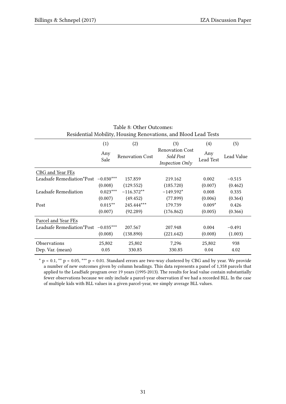<span id="page-32-0"></span>

| Residential Mobility, Housing Renovations, and Blood Lead Tests |             |                        |                                                               |                  |            |
|-----------------------------------------------------------------|-------------|------------------------|---------------------------------------------------------------|------------------|------------|
|                                                                 | (1)         | (2)                    | (3)                                                           | (4)              | (5)        |
|                                                                 | Any<br>Sale | <b>Renovation Cost</b> | <b>Renovation Cost</b><br>Sold Post<br><b>Inspection Only</b> | Any<br>Lead Test | Lead Value |
| CBG and Year FEs                                                |             |                        |                                                               |                  |            |
| Leadsafe Remediation*Post                                       | $-0.030***$ | 157.859                | 219.162                                                       | 0.002            | $-0.515$   |
|                                                                 | (0.008)     | (129.552)              | (185.720)                                                     | (0.007)          | (0.462)    |
| Leadsafe Remediation                                            | $0.023***$  | $-116.372**$           | $-149.592*$                                                   | 0.008            | 0.335      |
|                                                                 | (0.007)     | (49.452)               | (77.899)                                                      | (0.006)          | (0.364)    |
| Post                                                            | $0.015***$  | 245.444***             | 179.739                                                       | $0.009*$         | 0.426      |
|                                                                 | (0.007)     | (92.289)               | (176.862)                                                     | (0.005)          | (0.366)    |
| Parcel and Year FEs                                             |             |                        |                                                               |                  |            |
| Leadsafe Remediation*Post -0.035***                             |             | 207.567                | 207.948                                                       | 0.004            | $-0.491$   |
|                                                                 | (0.008)     | (138.890)              | (221.642)                                                     | (0.008)          | (1.003)    |
| <b>Observations</b>                                             | 25,802      | 25,802                 | 7,296                                                         | 25,802           | 938        |
| Dep. Var. (mean)                                                | 0.05        | 330.85                 | 330.85                                                        | 0.04             | 4.02       |

# Table 8: Other Outcomes:

 $^{\star}$  p < 0.1,  $^{**}$  p < 0.05,  $^{***}$  p < 0.01. Standard errors are two-way clustered by CBG and by year. We provide a number of new outcomes given by column headings. This data represents a panel of 1,358 parcels that applied to the LeadSafe program over 19 years (1995-2013). The results for lead value contain substantially fewer observations because we only include a parcel-year observation if we had a recorded BLL. In the case of multiple kids with BLL values in a given parcel-year, we simply average BLL values.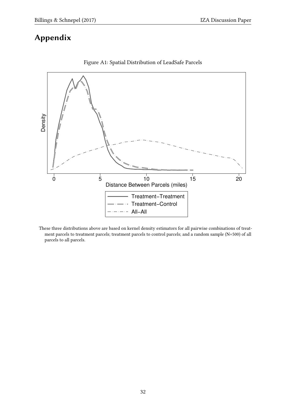## Appendix

<span id="page-33-0"></span>

Figure A1: Spatial Distribution of LeadSafe Parcels

These three distributions above are based on kernel density estimators for all pairwise combinations of treatment parcels to treatment parcels; treatment parcels to control parcels; and a random sample (N=500) of all parcels to all parcels.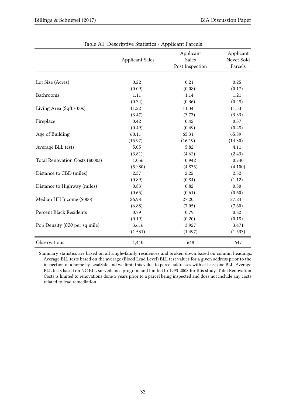<span id="page-34-0"></span>

|                                 | <b>Applicant Sales</b> | Applicant<br>Sales<br>Post Inspection | Applicant<br>Never Sold<br>Parcels |
|---------------------------------|------------------------|---------------------------------------|------------------------------------|
|                                 |                        |                                       |                                    |
| Lot Size (Acres)                | 0.22                   | 0.21                                  | 0.25                               |
|                                 | (0.09)                 | (0.08)                                | (0.17)                             |
| Bathrooms                       | 1.11                   | 1.14                                  | 1.21                               |
|                                 | (0.34)                 | (0.36)                                | (0.48)                             |
| Living Area (Sqft - 00s)        | 11.22                  | 11.34                                 | 11.53                              |
|                                 | (3.47)                 | (3.73)                                | (3.33)                             |
| Fireplace                       | 0.42                   | 0.42                                  | 0.37                               |
|                                 | (0.49)                 | (0.49)                                | (0.48)                             |
| Age of Building                 | 60.11                  | 65.31                                 | 65.89                              |
|                                 | (15.97)                | (16.19)                               | (14.30)                            |
| Average BLL tests               | 5.05                   | 5.82                                  | 4.11                               |
|                                 | (3.81)                 | (4.62)                                | (2.43)                             |
| Total Renovation Costs (\$000s) | 1.056                  | 0.942                                 | 0.740                              |
|                                 | (5.280)                | (4.835)                               | (4.100)                            |
| Distance to CBD (miles)         | 2.37                   | 2.22                                  | 2.52                               |
|                                 | (0.89)                 | (0.84)                                | (1.12)                             |
| Distance to Highway (miles)     | 0.83                   | 0.82                                  | 0.80                               |
|                                 | (0.65)                 | (0.61)                                | (0.60)                             |
| Median HH Income (\$000)        | 26.98                  | 27.20                                 | 27.24                              |
|                                 | (6.88)                 | (7.05)                                | (7.60)                             |
| <b>Percent Black Residents</b>  | 0.79                   | 0.79                                  | 0.82                               |
|                                 | (0.19)                 | (0.20)                                | (0.18)                             |
| Pop Density (000 per sq mile)   | 3.616                  | 3.927                                 | 3.471                              |
|                                 | (1.531)                | (1.497)                               | (1.533)                            |
| Observations                    | 1,410                  | 648                                   | 647                                |

Summary statistics are based on all single-family residences and broken down based on column headings. Average BLL tests based on the average (Blood Lead Level) BLL test values for a given address prior to the inspection of a home by LeadSafe and we limit this value to parcel addresses with at least one BLL. Average BLL tests based on NC BLL surveillance program and limited to 1993-2008 for this study. Total Renovation Costs is limited to renovations done 5 years prior to a parcel being inspected and does not include any costs related to lead remediation.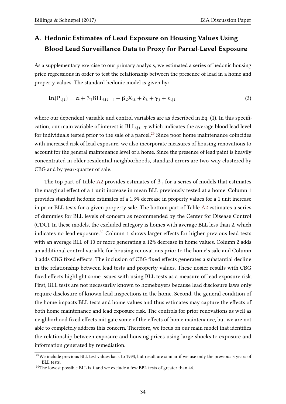## A. Hedonic Estimates of Lead Exposure on Housing Values Using Blood Lead Surveillance Data to Proxy for Parcel-Level Exposure

As a supplementary exercise to our primary analysis, we estimated a series of hedonic housing price regressions in order to test the relationship between the presence of lead in a home and property values. The standard hedonic model is given by:

$$
\ln(P_{ijt}) = \alpha + \beta_1 BLL_{ijt-T} + \beta_2 X_{it} + \delta_t + \gamma_j + \varepsilon_{ijt}
$$
\n(3)

where our dependent variable and control variables are as described in Eq. (1). In this specification, our main variable of interest is  $BLL_{i,i-1}$  which indicates the average blood lead level for individuals tested prior to the sale of a parcel.<sup>[29](#page-35-0)</sup> Since poor home maintenance coincides with increased risk of lead exposure, we also incorporate measures of housing renovations to account for the general maintenance level of a home. Since the presence of lead paint is heavily concentrated in older residential neighborhoods, standard errors are two-way clustered by CBG and by year-quarter of sale.

The top part of Table [A2](#page-36-0) provides estimates of  $\beta_1$  for a series of models that estimates the marginal effect of a 1 unit increase in mean BLL previously tested at a home. Column 1 provides standard hedonic estimates of a 1.3% decrease in property values for a 1 unit increase in prior BLL tests for a given property sale. The bottom part of Table [A2](#page-36-0) estimates a series of dummies for BLL levels of concern as recommended by the Center for Disease Control (CDC). In these models, the excluded category is homes with average BLL less than 2, which indicates no lead exposure.<sup>[30](#page-35-1)</sup> Column 1 shows larger effects for higher previous lead tests with an average BLL of 10 or more generating a 12% decrease in home values. Column 2 adds an additional control variable for housing renovations prior to the home's sale and Column 3 adds CBG fixed effects. The inclusion of CBG fixed effects generates a substantial decline in the relationship between lead tests and property values. These nosier results with CBG fixed effects highlight some issues with using BLL tests as a measure of lead exposure risk. First, BLL tests are not necessarily known to homebuyers because lead disclosure laws only require disclosure of known lead inspections in the home. Second, the general condition of the home impacts BLL tests and home values and thus estimates may capture the effects of both home maintenance and lead exposure risk. The controls for prior renovations as well as neighborhood fixed effects mitigate some of the effects of home maintenance, but we are not able to completely address this concern. Therefore, we focus on our main model that identifies the relationship between exposure and housing prices using large shocks to exposure and information generated by remediation.

<span id="page-35-0"></span><sup>&</sup>lt;sup>29</sup>We include previous BLL test values back to 1993, but result are similar if we use only the previous 3 years of BLL tests.

<span id="page-35-1"></span><sup>&</sup>lt;sup>30</sup>The lowest possible BLL is 1 and we exclude a few BBL tests of greater than 44.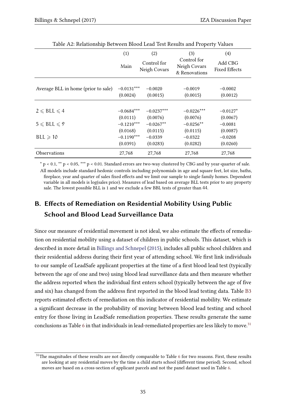<span id="page-36-0"></span>

|                                     | (1)                      | (2)                         | (3)                                          | (4)                             |
|-------------------------------------|--------------------------|-----------------------------|----------------------------------------------|---------------------------------|
|                                     | Main                     | Control for<br>Neigh Covars | Control for<br>Neigh Covars<br>& Renovations | Add CBG<br><b>Fixed Effects</b> |
| Average BLL in home (prior to sale) | $-0.0131***$<br>(0.0024) | $-0.0020$<br>(0.0015)       | $-0.0019$<br>(0.0015)                        | $-0.0002$<br>(0.0012)           |
|                                     |                          |                             |                                              |                                 |
| $2 \leq BLL \leq 4$                 | $-0.0684***$             | $-0.0237***$                | $-0.0226***$                                 | $-0.0127*$                      |
|                                     | (0.0111)                 | (0.0076)                    | (0.0076)                                     | (0.0067)                        |
| $5 \leqslant BLL \leqslant 9$       | $-0.1210***$             | $-0.0267**$                 | $-0.0256**$                                  | $-0.0081$                       |
|                                     | (0.0168)                 | (0.0115)                    | (0.0115)                                     | (0.0087)                        |
| $BLL \geqslant 10$                  | $-0.1190***$             | $-0.0339$                   | $-0.0322$                                    | $-0.0208$                       |
|                                     | (0.0391)                 | (0.0283)                    | (0.0282)                                     | (0.0260)                        |
| <b>Observations</b>                 | 27,768                   | 27,768                      | 27,768                                       | 27,768                          |

| Table A2: Relationship Between Blood Lead Test Results and Property Values |  |  |  |
|----------------------------------------------------------------------------|--|--|--|
|----------------------------------------------------------------------------|--|--|--|

 $*$  p < 0.1,  $**$  p < 0.05,  $***$  p < 0.01. Standard errors are two-way clustered by CBG and by year-quarter of sale. All models include standard hedonic controls including polynomials in age and square feet, lot size, baths, fireplace, year and quarter of sales fixed effects and we limit our sample to single family homes. Dependent variable in all models is log(sales price). Measures of lead based on average BLL tests prior to any property sale. The lowest possible BLL is 1 and we exclude a few BBL tests of greater than 44.

## B. Effects of Remediation on Residential Mobility Using Public School and Blood Lead Surveillance Data

Since our measure of residential movement is not ideal, we also estimate the effects of remediation on residential mobility using a dataset of children in public schools. This dataset, which is described in more detail in [Billings and Schnepel](#page-19-7) [\(2015\)](#page-19-7), includes all public school children and their residential address during their first year of attending school. We first link individuals to our sample of LeadSafe applicant properties at the time of a first blood lead test (typically between the age of one and two) using blood lead surveillance data and then measure whether the address reported when the individual first enters school (typically between the age of five and six) has changed from the address first reported in the blood lead testing data. Table [B3](#page-37-0) reports estimated effects of remediation on this indicator of residential mobility. We estimate a signicant decrease in the probability of moving between blood lead testing and school entry for those living in LeadSafe remediation properties. These results generate the same conclusions as Table [6](#page-30-0) in that individuals in lead-remediated properties are less likely to move.<sup>[31](#page-36-1)</sup>

<span id="page-36-1"></span><sup>&</sup>lt;sup>31</sup>The magnitudes of these results are not directly comparable to Table [6](#page-30-0) for two reasons. First, these results are looking at any residential moves by the time a child starts school (different time period). Second, school moves are based on a cross-section of applicant parcels and not the panel dataset used in Table [6.](#page-30-0)